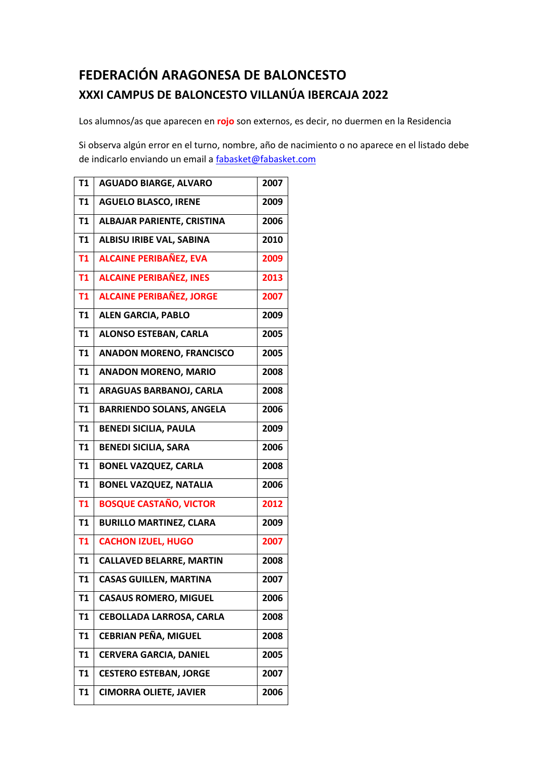## **FEDERACIÓN ARAGONESA DE BALONCESTO XXXI CAMPUS DE BALONCESTO VILLANÚA IBERCAJA 2022**

Los alumnos/as que aparecen en **rojo** son externos, es decir, no duermen en la Residencia

Si observa algún error en el turno, nombre, año de nacimiento o no aparece en el listado debe de indicarlo enviando un email [a fabasket@fabasket.com](mailto:fabasket@fabasket.com)

| <b>T1</b>      | <b>AGUADO BIARGE, ALVARO</b>      | 2007 |
|----------------|-----------------------------------|------|
| T <sub>1</sub> | <b>AGUELO BLASCO, IRENE</b>       | 2009 |
| T <sub>1</sub> | <b>ALBAJAR PARIENTE, CRISTINA</b> | 2006 |
| T1             | <b>ALBISU IRIBE VAL, SABINA</b>   | 2010 |
| <b>T1</b>      | <b>ALCAINE PERIBAÑEZ, EVA</b>     | 2009 |
| T1             | <b>ALCAINE PERIBAÑEZ, INES</b>    | 2013 |
| <b>T1</b>      | <b>ALCAINE PERIBAÑEZ, JORGE</b>   | 2007 |
| <b>T1</b>      | <b>ALEN GARCIA, PABLO</b>         | 2009 |
| <b>T1</b>      | <b>ALONSO ESTEBAN, CARLA</b>      | 2005 |
| <b>T1</b>      | <b>ANADON MORENO, FRANCISCO</b>   | 2005 |
| T1             | <b>ANADON MORENO, MARIO</b>       | 2008 |
| T1             | ARAGUAS BARBANOJ, CARLA           | 2008 |
| T <sub>1</sub> | <b>BARRIENDO SOLANS, ANGELA</b>   | 2006 |
| T <sub>1</sub> | <b>BENEDI SICILIA, PAULA</b>      | 2009 |
| <b>T1</b>      | <b>BENEDI SICILIA, SARA</b>       | 2006 |
| T <sub>1</sub> | <b>BONEL VAZQUEZ, CARLA</b>       | 2008 |
| T1             | <b>BONEL VAZQUEZ, NATALIA</b>     | 2006 |
| <b>T1</b>      | <b>BOSQUE CASTAÑO, VICTOR</b>     | 2012 |
| <b>T1</b>      | <b>BURILLO MARTINEZ, CLARA</b>    | 2009 |
| <b>T1</b>      | <b>CACHON IZUEL, HUGO</b>         | 2007 |
| <b>T1</b>      | <b>CALLAVED BELARRE, MARTIN</b>   | 2008 |
| T1             | <b>CASAS GUILLEN, MARTINA</b>     | 2007 |
| T1             | <b>CASAUS ROMERO, MIGUEL</b>      | 2006 |
| T <sub>1</sub> | <b>CEBOLLADA LARROSA, CARLA</b>   | 2008 |
| T1             | <b>CEBRIAN PEÑA, MIGUEL</b>       | 2008 |
| T <sub>1</sub> | <b>CERVERA GARCIA, DANIEL</b>     | 2005 |
| T <sub>1</sub> | <b>CESTERO ESTEBAN, JORGE</b>     | 2007 |
| T1             | <b>CIMORRA OLIETE, JAVIER</b>     | 2006 |
|                |                                   |      |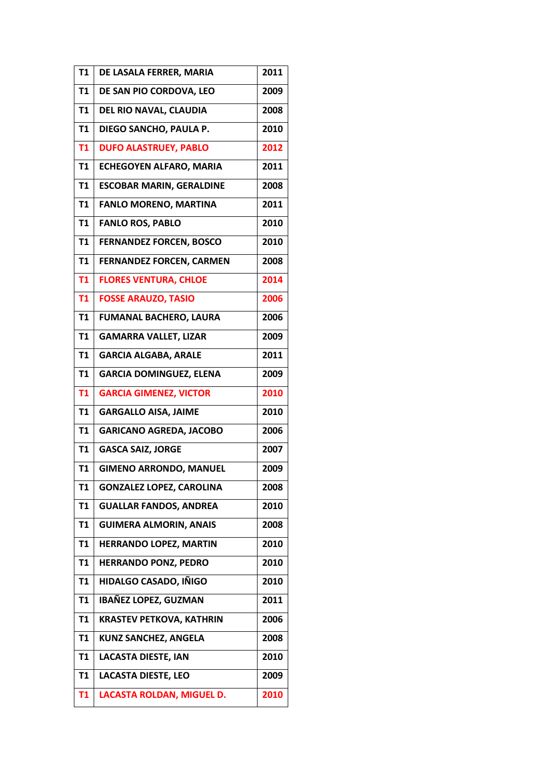| T1             | DE LASALA FERRER, MARIA         | 2011 |
|----------------|---------------------------------|------|
| <b>T1</b>      | DE SAN PIO CORDOVA, LEO         | 2009 |
| T1             | DEL RIO NAVAL, CLAUDIA          | 2008 |
| <b>T1</b>      | DIEGO SANCHO, PAULA P.          | 2010 |
| <b>T1</b>      | <b>DUFO ALASTRUEY, PABLO</b>    | 2012 |
| <b>T1</b>      | <b>ECHEGOYEN ALFARO, MARIA</b>  | 2011 |
| <b>T1</b>      | <b>ESCOBAR MARIN, GERALDINE</b> | 2008 |
| T <sub>1</sub> | <b>FANLO MORENO, MARTINA</b>    | 2011 |
| <b>T1</b>      | <b>FANLO ROS, PABLO</b>         | 2010 |
| <b>T1</b>      | <b>FERNANDEZ FORCEN, BOSCO</b>  | 2010 |
| <b>T1</b>      | <b>FERNANDEZ FORCEN, CARMEN</b> | 2008 |
| <b>T1</b>      | <b>FLORES VENTURA, CHLOE</b>    | 2014 |
| <b>T1</b>      | <b>FOSSE ARAUZO, TASIO</b>      | 2006 |
| T1             | <b>FUMANAL BACHERO, LAURA</b>   | 2006 |
| T <sub>1</sub> | <b>GAMARRA VALLET, LIZAR</b>    | 2009 |
| T <sub>1</sub> | <b>GARCIA ALGABA, ARALE</b>     | 2011 |
| <b>T1</b>      | <b>GARCIA DOMINGUEZ, ELENA</b>  | 2009 |
| <b>T1</b>      | <b>GARCIA GIMENEZ, VICTOR</b>   | 2010 |
| T <sub>1</sub> | <b>GARGALLO AISA, JAIME</b>     | 2010 |
| <b>T1</b>      | <b>GARICANO AGREDA, JACOBO</b>  | 2006 |
| T1             | <b>GASCA SAIZ, JORGE</b>        | 2007 |
| <b>T1</b>      | <b>GIMENO ARRONDO, MANUEL</b>   | 2009 |
| T1             | <b>GONZALEZ LOPEZ, CAROLINA</b> | 2008 |
| <b>T1</b>      | <b>GUALLAR FANDOS, ANDREA</b>   | 2010 |
| <b>T1</b>      | <b>GUIMERA ALMORIN, ANAIS</b>   | 2008 |
| <b>T1</b>      | HERRANDO LOPEZ, MARTIN          | 2010 |
| T <sub>1</sub> | <b>HERRANDO PONZ, PEDRO</b>     | 2010 |
| T <sub>1</sub> | HIDALGO CASADO, IÑIGO           | 2010 |
| T <sub>1</sub> | <b>IBAÑEZ LOPEZ, GUZMAN</b>     | 2011 |
| T <sub>1</sub> | <b>KRASTEV PETKOVA, KATHRIN</b> | 2006 |
| T <sub>1</sub> | <b>KUNZ SANCHEZ, ANGELA</b>     | 2008 |
| <b>T1</b>      | <b>LACASTA DIESTE, IAN</b>      | 2010 |
| <b>T1</b>      | <b>LACASTA DIESTE, LEO</b>      | 2009 |
| T <sub>1</sub> | LACASTA ROLDAN, MIGUEL D.       | 2010 |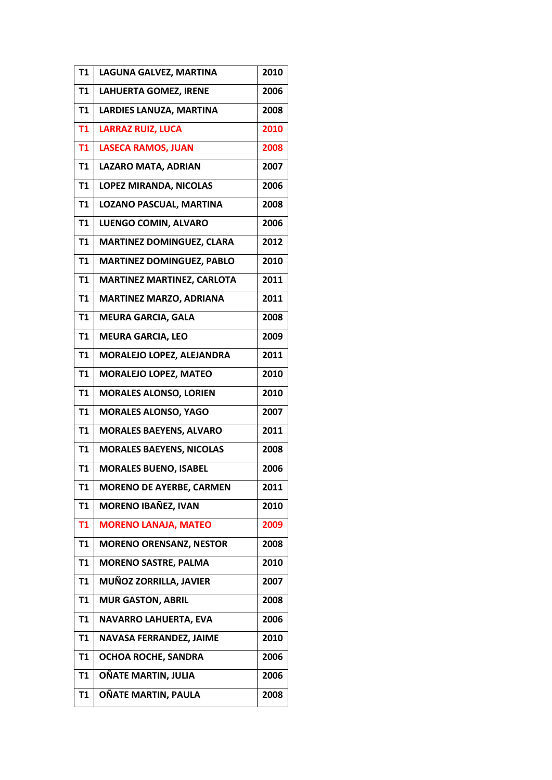| <b>T1</b>      | LAGUNA GALVEZ, MARTINA            | 2010 |
|----------------|-----------------------------------|------|
| T <sub>1</sub> | <b>LAHUERTA GOMEZ, IRENE</b>      | 2006 |
| T1             | <b>LARDIES LANUZA, MARTINA</b>    | 2008 |
| <b>T1</b>      | <b>LARRAZ RUIZ, LUCA</b>          | 2010 |
| T1             | <b>LASECA RAMOS, JUAN</b>         | 2008 |
| <b>T1</b>      | <b>LAZARO MATA, ADRIAN</b>        | 2007 |
| <b>T1</b>      | LOPEZ MIRANDA, NICOLAS            | 2006 |
| T <sub>1</sub> | LOZANO PASCUAL, MARTINA           | 2008 |
| T1             | LUENGO COMIN, ALVARO              | 2006 |
| T1             | <b>MARTINEZ DOMINGUEZ, CLARA</b>  | 2012 |
| <b>T1</b>      | <b>MARTINEZ DOMINGUEZ, PABLO</b>  | 2010 |
| <b>T1</b>      | <b>MARTINEZ MARTINEZ, CARLOTA</b> | 2011 |
| T1             | <b>MARTINEZ MARZO, ADRIANA</b>    | 2011 |
| <b>T1</b>      | <b>MEURA GARCIA, GALA</b>         | 2008 |
| T <sub>1</sub> | <b>MEURA GARCIA, LEO</b>          | 2009 |
| <b>T1</b>      | MORALEJO LOPEZ, ALEJANDRA         | 2011 |
| <b>T1</b>      | <b>MORALEJO LOPEZ, MATEO</b>      | 2010 |
| T1             | <b>MORALES ALONSO, LORIEN</b>     | 2010 |
| T <sub>1</sub> | <b>MORALES ALONSO, YAGO</b>       | 2007 |
| <b>T1</b>      | <b>MORALES BAEYENS, ALVARO</b>    | 2011 |
| T1             | <b>MORALES BAEYENS, NICOLAS</b>   | 2008 |
| <b>T1</b>      | <b>MORALES BUENO, ISABEL</b>      | 2006 |
| T1             | <b>MORENO DE AYERBE, CARMEN</b>   | 2011 |
| <b>T1</b>      | MORENO IBAÑEZ, IVAN               | 2010 |
| <b>T1</b>      | <b>MORENO LANAJA, MATEO</b>       | 2009 |
| T1             | <b>MORENO ORENSANZ, NESTOR</b>    | 2008 |
| <b>T1</b>      | <b>MORENO SASTRE, PALMA</b>       | 2010 |
| T <sub>1</sub> | MUÑOZ ZORRILLA, JAVIER            | 2007 |
| T1             | <b>MUR GASTON, ABRIL</b>          | 2008 |
| T1             | <b>NAVARRO LAHUERTA, EVA</b>      | 2006 |
| T1             | NAVASA FERRANDEZ, JAIME           | 2010 |
| T <sub>1</sub> | OCHOA ROCHE, SANDRA               | 2006 |
| T <sub>1</sub> | OÑATE MARTIN, JULIA               | 2006 |
| T1             | OÑATE MARTIN, PAULA               | 2008 |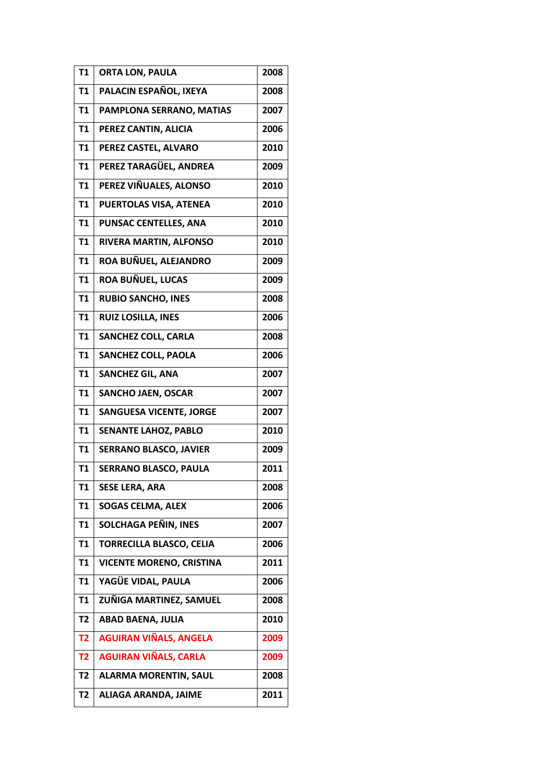| T1             | <b>ORTA LON, PAULA</b>          | 2008 |
|----------------|---------------------------------|------|
| T1             | PALACIN ESPAÑOL, IXEYA          | 2008 |
| T1             | PAMPLONA SERRANO, MATIAS        | 2007 |
| <b>T1</b>      | PEREZ CANTIN, ALICIA            | 2006 |
| T <sub>1</sub> | PEREZ CASTEL, ALVARO            | 2010 |
| <b>T1</b>      | PEREZ TARAGÜEL, ANDREA          | 2009 |
| <b>T1</b>      | PEREZ VIÑUALES, ALONSO          | 2010 |
| T1             | PUERTOLAS VISA, ATENEA          | 2010 |
| T1             | <b>PUNSAC CENTELLES, ANA</b>    | 2010 |
| <b>T1</b>      | RIVERA MARTIN, ALFONSO          | 2010 |
| T1             | ROA BUÑUEL, ALEJANDRO           | 2009 |
| T <sub>1</sub> | <b>ROA BUÑUEL, LUCAS</b>        | 2009 |
| <b>T1</b>      | <b>RUBIO SANCHO, INES</b>       | 2008 |
| T <sub>1</sub> | <b>RUIZ LOSILLA, INES</b>       | 2006 |
| T <sub>1</sub> | <b>SANCHEZ COLL, CARLA</b>      | 2008 |
| T1             | <b>SANCHEZ COLL, PAOLA</b>      | 2006 |
| <b>T1</b>      | <b>SANCHEZ GIL, ANA</b>         | 2007 |
| <b>T1</b>      | <b>SANCHO JAEN, OSCAR</b>       | 2007 |
| T <sub>1</sub> | <b>SANGUESA VICENTE, JORGE</b>  | 2007 |
| <b>T1</b>      | <b>SENANTE LAHOZ, PABLO</b>     | 2010 |
| T1             | <b>SERRANO BLASCO, JAVIER</b>   | 2009 |
| T <sub>1</sub> | <b>SERRANO BLASCO, PAULA</b>    | 2011 |
| T1             | <b>SESE LERA, ARA</b>           | 2008 |
| <b>T1</b>      | <b>SOGAS CELMA, ALEX</b>        | 2006 |
| <b>T1</b>      | SOLCHAGA PEÑIN, INES            | 2007 |
| <b>T1</b>      | <b>TORRECILLA BLASCO, CELIA</b> | 2006 |
| <b>T1</b>      | <b>VICENTE MORENO, CRISTINA</b> | 2011 |
| <b>T1</b>      | YAGÜE VIDAL, PAULA              | 2006 |
| <b>T1</b>      | ZUÑIGA MARTINEZ, SAMUEL         | 2008 |
| T <sub>2</sub> | <b>ABAD BAENA, JULIA</b>        | 2010 |
| <b>T2</b>      | <b>AGUIRAN VIÑALS, ANGELA</b>   | 2009 |
| T <sub>2</sub> | <b>AGUIRAN VIÑALS, CARLA</b>    | 2009 |
| T <sub>2</sub> | <b>ALARMA MORENTIN, SAUL</b>    | 2008 |
| T <sub>2</sub> | ALIAGA ARANDA, JAIME            | 2011 |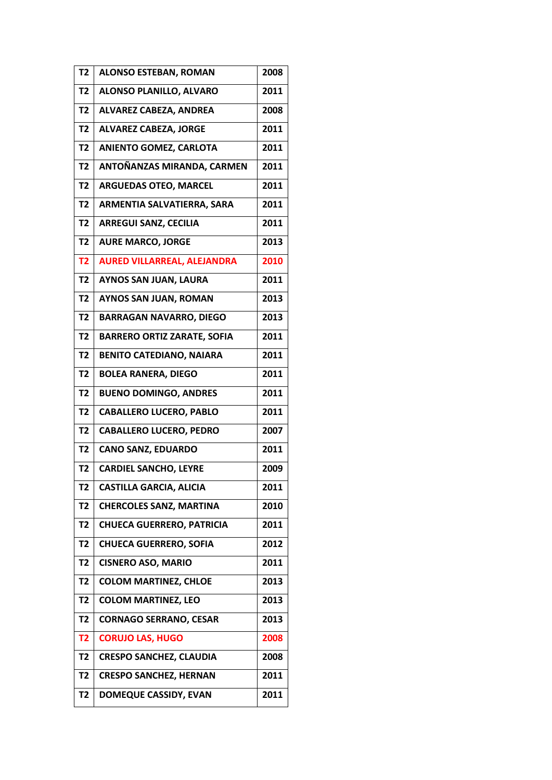| T <sub>2</sub> | <b>ALONSO ESTEBAN, ROMAN</b>       | 2008 |
|----------------|------------------------------------|------|
| T <sub>2</sub> | ALONSO PLANILLO, ALVARO            | 2011 |
| T <sub>2</sub> | <b>ALVAREZ CABEZA, ANDREA</b>      | 2008 |
| <b>T2</b>      | <b>ALVAREZ CABEZA, JORGE</b>       | 2011 |
| <b>T2</b>      | <b>ANIENTO GOMEZ, CARLOTA</b>      | 2011 |
| T <sub>2</sub> | ANTOÑANZAS MIRANDA, CARMEN         | 2011 |
| <b>T2</b>      | <b>ARGUEDAS OTEO, MARCEL</b>       | 2011 |
| T <sub>2</sub> | ARMENTIA SALVATIERRA, SARA         | 2011 |
| T <sub>2</sub> | <b>ARREGUI SANZ, CECILIA</b>       | 2011 |
| T <sub>2</sub> | <b>AURE MARCO, JORGE</b>           | 2013 |
| T <sub>2</sub> | <b>AURED VILLARREAL, ALEJANDRA</b> | 2010 |
| T <sub>2</sub> | <b>AYNOS SAN JUAN, LAURA</b>       | 2011 |
| <b>T2</b>      | <b>AYNOS SAN JUAN, ROMAN</b>       | 2013 |
| T <sub>2</sub> | <b>BARRAGAN NAVARRO, DIEGO</b>     | 2013 |
| T <sub>2</sub> | <b>BARRERO ORTIZ ZARATE, SOFIA</b> | 2011 |
| T <sub>2</sub> | <b>BENITO CATEDIANO, NAIARA</b>    | 2011 |
| T <sub>2</sub> | <b>BOLEA RANERA, DIEGO</b>         | 2011 |
| <b>T2</b>      | <b>BUENO DOMINGO, ANDRES</b>       | 2011 |
| <b>T2</b>      | <b>CABALLERO LUCERO, PABLO</b>     | 2011 |
| T <sub>2</sub> | <b>CABALLERO LUCERO, PEDRO</b>     | 2007 |
| T <sub>2</sub> | <b>CANO SANZ, EDUARDO</b>          | 2011 |
| T <sub>2</sub> | <b>CARDIEL SANCHO, LEYRE</b>       | 2009 |
| T2             | <b>CASTILLA GARCIA, ALICIA</b>     | 2011 |
| T <sub>2</sub> | <b>CHERCOLES SANZ, MARTINA</b>     | 2010 |
| T <sub>2</sub> | <b>CHUECA GUERRERO, PATRICIA</b>   | 2011 |
| T <sub>2</sub> | <b>CHUECA GUERRERO, SOFIA</b>      | 2012 |
| T <sub>2</sub> | <b>CISNERO ASO, MARIO</b>          | 2011 |
| T <sub>2</sub> | <b>COLOM MARTINEZ, CHLOE</b>       | 2013 |
| T <sub>2</sub> | <b>COLOM MARTINEZ, LEO</b>         | 2013 |
| T <sub>2</sub> | <b>CORNAGO SERRANO, CESAR</b>      | 2013 |
| T <sub>2</sub> | <b>CORUJO LAS, HUGO</b>            | 2008 |
| T <sub>2</sub> | <b>CRESPO SANCHEZ, CLAUDIA</b>     | 2008 |
| <b>T2</b>      | <b>CRESPO SANCHEZ, HERNAN</b>      | 2011 |
| T2             | <b>DOMEQUE CASSIDY, EVAN</b>       | 2011 |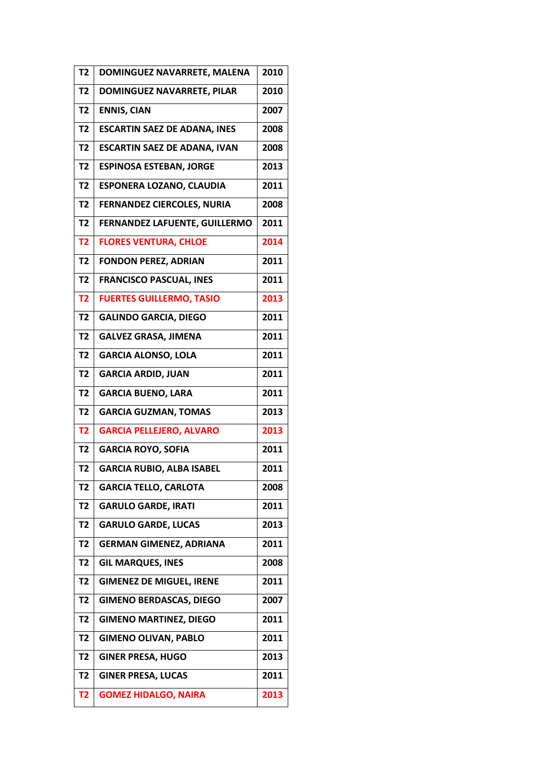| T <sub>2</sub> | DOMINGUEZ NAVARRETE, MALENA         | 2010 |
|----------------|-------------------------------------|------|
| T <sub>2</sub> | <b>DOMINGUEZ NAVARRETE, PILAR</b>   | 2010 |
| T <sub>2</sub> | <b>ENNIS, CIAN</b>                  | 2007 |
| T <sub>2</sub> | <b>ESCARTIN SAEZ DE ADANA, INES</b> | 2008 |
| <b>T2</b>      | <b>ESCARTIN SAEZ DE ADANA, IVAN</b> | 2008 |
| T <sub>2</sub> | <b>ESPINOSA ESTEBAN, JORGE</b>      | 2013 |
| T <sub>2</sub> | <b>ESPONERA LOZANO, CLAUDIA</b>     | 2011 |
| T <sub>2</sub> | <b>FERNANDEZ CIERCOLES, NURIA</b>   | 2008 |
| T <sub>2</sub> | FERNANDEZ LAFUENTE, GUILLERMO       | 2011 |
| T <sub>2</sub> | <b>FLORES VENTURA, CHLOE</b>        | 2014 |
| T <sub>2</sub> | <b>FONDON PEREZ, ADRIAN</b>         | 2011 |
| <b>T2</b>      | <b>FRANCISCO PASCUAL, INES</b>      | 2011 |
| T <sub>2</sub> | <b>FUERTES GUILLERMO, TASIO</b>     | 2013 |
| T <sub>2</sub> | <b>GALINDO GARCIA, DIEGO</b>        | 2011 |
| <b>T2</b>      | <b>GALVEZ GRASA, JIMENA</b>         | 2011 |
| <b>T2</b>      | <b>GARCIA ALONSO, LOLA</b>          | 2011 |
| T <sub>2</sub> | <b>GARCIA ARDID, JUAN</b>           | 2011 |
| T <sub>2</sub> | <b>GARCIA BUENO, LARA</b>           | 2011 |
| T <sub>2</sub> | <b>GARCIA GUZMAN, TOMAS</b>         | 2013 |
| T <sub>2</sub> | <b>GARCIA PELLEJERO, ALVARO</b>     | 2013 |
| T <sub>2</sub> | <b>GARCIA ROYO, SOFIA</b>           | 2011 |
| <b>T2</b>      | <b>GARCIA RUBIO, ALBA ISABEL</b>    | 2011 |
| T <sub>2</sub> | <b>GARCIA TELLO, CARLOTA</b>        | 2008 |
| T <sub>2</sub> | <b>GARULO GARDE, IRATI</b>          | 2011 |
| T <sub>2</sub> | <b>GARULO GARDE, LUCAS</b>          | 2013 |
| T <sub>2</sub> | <b>GERMAN GIMENEZ, ADRIANA</b>      | 2011 |
| T <sub>2</sub> | <b>GIL MARQUES, INES</b>            | 2008 |
| T <sub>2</sub> | <b>GIMENEZ DE MIGUEL, IRENE</b>     | 2011 |
| T <sub>2</sub> | <b>GIMENO BERDASCAS, DIEGO</b>      | 2007 |
| T <sub>2</sub> | <b>GIMENO MARTINEZ, DIEGO</b>       | 2011 |
| T <sub>2</sub> | <b>GIMENO OLIVAN, PABLO</b>         | 2011 |
| T <sub>2</sub> | <b>GINER PRESA, HUGO</b>            | 2013 |
| T <sub>2</sub> | <b>GINER PRESA, LUCAS</b>           | 2011 |
| <b>T2</b>      | <b>GOMEZ HIDALGO, NAIRA</b>         | 2013 |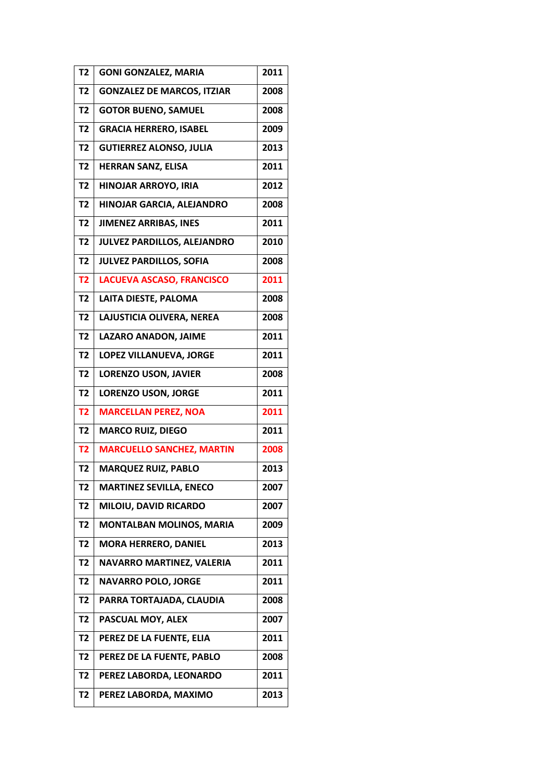| T <sub>2</sub> | <b>GONI GONZALEZ, MARIA</b>       | 2011 |
|----------------|-----------------------------------|------|
| <b>T2</b>      | <b>GONZALEZ DE MARCOS, ITZIAR</b> | 2008 |
| T <sub>2</sub> | <b>GOTOR BUENO, SAMUEL</b>        | 2008 |
| T <sub>2</sub> | <b>GRACIA HERRERO, ISABEL</b>     | 2009 |
| T <sub>2</sub> | <b>GUTIERREZ ALONSO, JULIA</b>    | 2013 |
| T <sub>2</sub> | <b>HERRAN SANZ, ELISA</b>         | 2011 |
| T <sub>2</sub> | HINOJAR ARROYO, IRIA              | 2012 |
| T <sub>2</sub> | HINOJAR GARCIA, ALEJANDRO         | 2008 |
| T <sub>2</sub> | <b>JIMENEZ ARRIBAS, INES</b>      | 2011 |
| T <sub>2</sub> | JULVEZ PARDILLOS, ALEJANDRO       | 2010 |
| T <sub>2</sub> | <b>JULVEZ PARDILLOS, SOFIA</b>    | 2008 |
| <b>T2</b>      | <b>LACUEVA ASCASO, FRANCISCO</b>  | 2011 |
| T <sub>2</sub> | LAITA DIESTE, PALOMA              | 2008 |
| T <sub>2</sub> | LAJUSTICIA OLIVERA, NEREA         | 2008 |
| <b>T2</b>      | LAZARO ANADON, JAIME              | 2011 |
| T <sub>2</sub> | LOPEZ VILLANUEVA, JORGE           | 2011 |
| <b>T2</b>      | <b>LORENZO USON, JAVIER</b>       | 2008 |
| T <sub>2</sub> | <b>LORENZO USON, JORGE</b>        | 2011 |
| <b>T2</b>      | <b>MARCELLAN PEREZ, NOA</b>       | 2011 |
| T <sub>2</sub> | <b>MARCO RUIZ, DIEGO</b>          | 2011 |
| T <sub>2</sub> | <b>MARCUELLO SANCHEZ, MARTIN</b>  | 2008 |
| T <sub>2</sub> | <b>MARQUEZ RUIZ, PABLO</b>        | 2013 |
| T2             | <b>MARTINEZ SEVILLA, ENECO</b>    | 2007 |
| T <sub>2</sub> | MILOIU, DAVID RICARDO             | 2007 |
| T <sub>2</sub> | <b>MONTALBAN MOLINOS, MARIA</b>   | 2009 |
| T <sub>2</sub> | <b>MORA HERRERO, DANIEL</b>       | 2013 |
| T <sub>2</sub> | NAVARRO MARTINEZ, VALERIA         | 2011 |
| T <sub>2</sub> | <b>NAVARRO POLO, JORGE</b>        | 2011 |
| T <sub>2</sub> | PARRA TORTAJADA, CLAUDIA          | 2008 |
| T2             | PASCUAL MOY, ALEX                 | 2007 |
| T <sub>2</sub> | PEREZ DE LA FUENTE, ELIA          | 2011 |
| T <sub>2</sub> | PEREZ DE LA FUENTE, PABLO         | 2008 |
| <b>T2</b>      | PEREZ LABORDA, LEONARDO           | 2011 |
| T2             | PEREZ LABORDA, MAXIMO             | 2013 |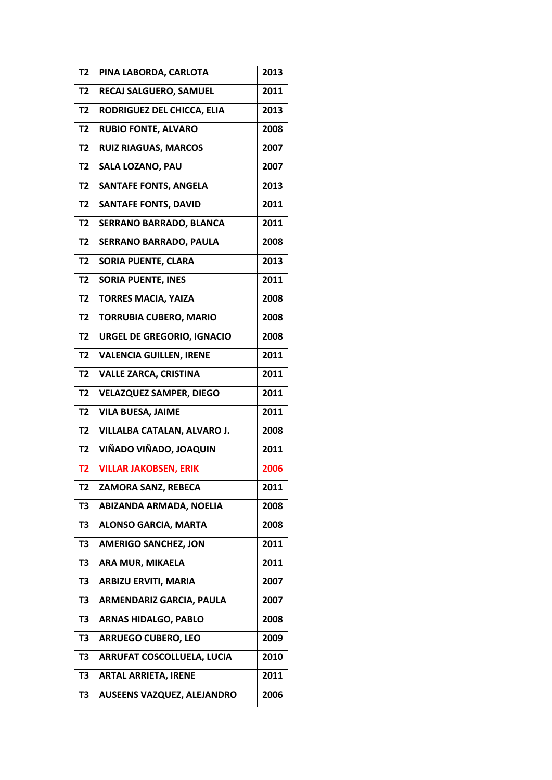| T <sub>2</sub> | PINA LABORDA, CARLOTA              | 2013 |
|----------------|------------------------------------|------|
| T <sub>2</sub> | <b>RECAJ SALGUERO, SAMUEL</b>      | 2011 |
| T <sub>2</sub> | RODRIGUEZ DEL CHICCA, ELIA         | 2013 |
| T <sub>2</sub> | <b>RUBIO FONTE, ALVARO</b>         | 2008 |
| <b>T2</b>      | <b>RUIZ RIAGUAS, MARCOS</b>        | 2007 |
| T <sub>2</sub> | <b>SALA LOZANO, PAU</b>            | 2007 |
| T <sub>2</sub> | <b>SANTAFE FONTS, ANGELA</b>       | 2013 |
| T <sub>2</sub> | <b>SANTAFE FONTS, DAVID</b>        | 2011 |
| T <sub>2</sub> | <b>SERRANO BARRADO, BLANCA</b>     | 2011 |
| T <sub>2</sub> | <b>SERRANO BARRADO, PAULA</b>      | 2008 |
| T <sub>2</sub> | <b>SORIA PUENTE, CLARA</b>         | 2013 |
| T <sub>2</sub> | <b>SORIA PUENTE, INES</b>          | 2011 |
| T <sub>2</sub> | <b>TORRES MACIA, YAIZA</b>         | 2008 |
| T <sub>2</sub> | <b>TORRUBIA CUBERO, MARIO</b>      | 2008 |
| T <sub>2</sub> | <b>URGEL DE GREGORIO, IGNACIO</b>  | 2008 |
| T <sub>2</sub> | <b>VALENCIA GUILLEN, IRENE</b>     | 2011 |
| T <sub>2</sub> | <b>VALLE ZARCA, CRISTINA</b>       | 2011 |
| T <sub>2</sub> | <b>VELAZQUEZ SAMPER, DIEGO</b>     | 2011 |
| T <sub>2</sub> | <b>VILA BUESA, JAIME</b>           | 2011 |
| T <sub>2</sub> | <b>VILLALBA CATALAN, ALVARO J.</b> | 2008 |
| T <sub>2</sub> | VIÑADO VIÑADO, JOAQUIN             | 2011 |
| T <sub>2</sub> | <b>VILLAR JAKOBSEN, ERIK</b>       | 2006 |
| T2             | <b>ZAMORA SANZ, REBECA</b>         | 2011 |
| T <sub>3</sub> | ABIZANDA ARMADA, NOELIA            | 2008 |
| T <sub>3</sub> | <b>ALONSO GARCIA, MARTA</b>        | 2008 |
| T <sub>3</sub> | <b>AMERIGO SANCHEZ, JON</b>        | 2011 |
| T3             | ARA MUR, MIKAELA                   | 2011 |
| T3             | <b>ARBIZU ERVITI, MARIA</b>        | 2007 |
| T <sub>3</sub> | ARMENDARIZ GARCIA, PAULA           | 2007 |
| T3             | <b>ARNAS HIDALGO, PABLO</b>        | 2008 |
| T3             | <b>ARRUEGO CUBERO, LEO</b>         | 2009 |
| T3             | <b>ARRUFAT COSCOLLUELA, LUCIA</b>  | 2010 |
| T <sub>3</sub> | <b>ARTAL ARRIETA, IRENE</b>        | 2011 |
| T3             | <b>AUSEENS VAZQUEZ, ALEJANDRO</b>  | 2006 |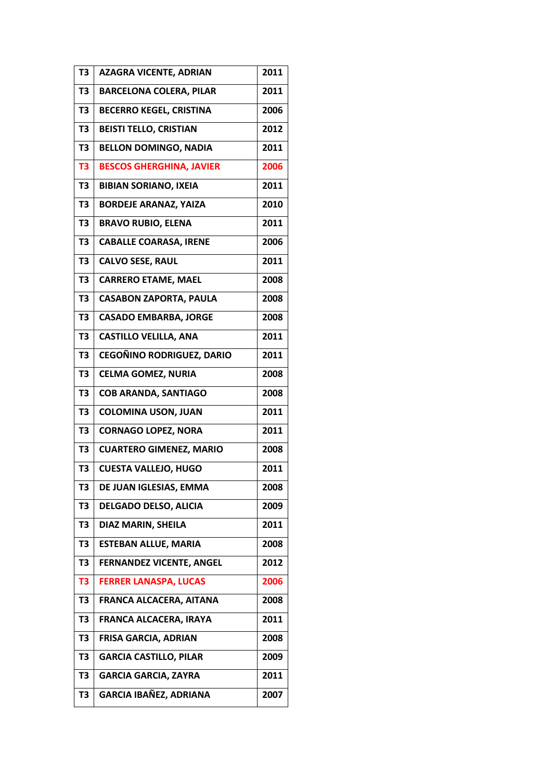| T <sub>3</sub> | <b>AZAGRA VICENTE, ADRIAN</b>    | 2011 |
|----------------|----------------------------------|------|
| T <sub>3</sub> | <b>BARCELONA COLERA, PILAR</b>   | 2011 |
| T <sub>3</sub> | <b>BECERRO KEGEL, CRISTINA</b>   | 2006 |
| T <sub>3</sub> | <b>BEISTI TELLO, CRISTIAN</b>    | 2012 |
| T <sub>3</sub> | <b>BELLON DOMINGO, NADIA</b>     | 2011 |
| T <sub>3</sub> | <b>BESCOS GHERGHINA, JAVIER</b>  | 2006 |
| T <sub>3</sub> | <b>BIBIAN SORIANO, IXEIA</b>     | 2011 |
| T <sub>3</sub> | <b>BORDEJE ARANAZ, YAIZA</b>     | 2010 |
| T <sub>3</sub> | <b>BRAVO RUBIO, ELENA</b>        | 2011 |
| T <sub>3</sub> | <b>CABALLE COARASA, IRENE</b>    | 2006 |
| T <sub>3</sub> | <b>CALVO SESE, RAUL</b>          | 2011 |
| T <sub>3</sub> | <b>CARRERO ETAME, MAEL</b>       | 2008 |
| T <sub>3</sub> | <b>CASABON ZAPORTA, PAULA</b>    | 2008 |
| T <sub>3</sub> | <b>CASADO EMBARBA, JORGE</b>     | 2008 |
| T <sub>3</sub> | <b>CASTILLO VELILLA, ANA</b>     | 2011 |
| T <sub>3</sub> | <b>CEGOÑINO RODRIGUEZ, DARIO</b> | 2011 |
| T3             | <b>CELMA GOMEZ, NURIA</b>        | 2008 |
| T <sub>3</sub> | <b>COB ARANDA, SANTIAGO</b>      | 2008 |
| T <sub>3</sub> | <b>COLOMINA USON, JUAN</b>       | 2011 |
| T <sub>3</sub> | <b>CORNAGO LOPEZ, NORA</b>       | 2011 |
| T <sub>3</sub> | <b>CUARTERO GIMENEZ, MARIO</b>   | 2008 |
| T3             | <b>CUESTA VALLEJO, HUGO</b>      | 2011 |
| T3             | DE JUAN IGLESIAS, EMMA           | 2008 |
| T <sub>3</sub> | <b>DELGADO DELSO, ALICIA</b>     | 2009 |
| T <sub>3</sub> | <b>DIAZ MARIN, SHEILA</b>        | 2011 |
| T <sub>3</sub> | <b>ESTEBAN ALLUE, MARIA</b>      | 2008 |
| T3             | <b>FERNANDEZ VICENTE, ANGEL</b>  | 2012 |
| T <sub>3</sub> | <b>FERRER LANASPA, LUCAS</b>     | 2006 |
| T <sub>3</sub> | FRANCA ALCACERA, AITANA          | 2008 |
| T <sub>3</sub> | FRANCA ALCACERA, IRAYA           | 2011 |
| T3             | FRISA GARCIA, ADRIAN             | 2008 |
| T3             | <b>GARCIA CASTILLO, PILAR</b>    | 2009 |
| T <sub>3</sub> | <b>GARCIA GARCIA, ZAYRA</b>      | 2011 |
| T3             | GARCIA IBAÑEZ, ADRIANA           | 2007 |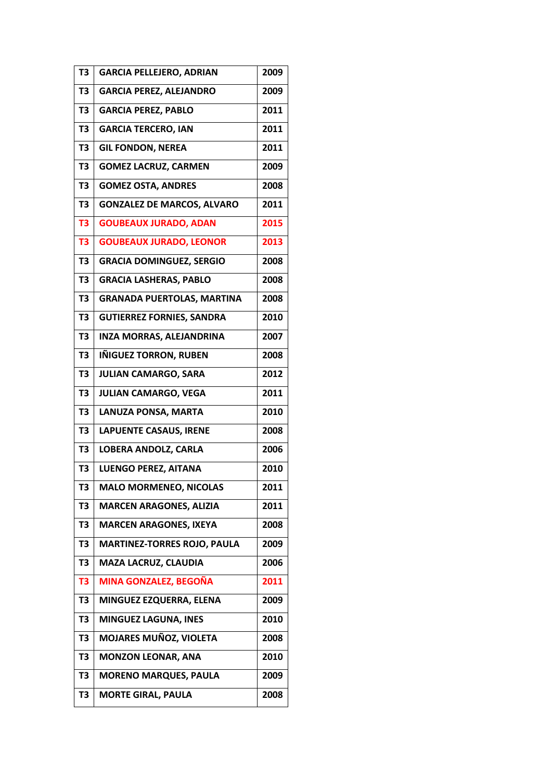| T3             | <b>GARCIA PELLEJERO, ADRIAN</b>    | 2009 |
|----------------|------------------------------------|------|
| T <sub>3</sub> | <b>GARCIA PEREZ, ALEJANDRO</b>     | 2009 |
| T <sub>3</sub> | <b>GARCIA PEREZ, PABLO</b>         | 2011 |
| T3             | <b>GARCIA TERCERO, IAN</b>         | 2011 |
| T <sub>3</sub> | <b>GIL FONDON, NEREA</b>           | 2011 |
| T <sub>3</sub> | <b>GOMEZ LACRUZ, CARMEN</b>        | 2009 |
| T3             | <b>GOMEZ OSTA, ANDRES</b>          | 2008 |
| T <sub>3</sub> | <b>GONZALEZ DE MARCOS, ALVARO</b>  | 2011 |
| T <sub>3</sub> | <b>GOUBEAUX JURADO, ADAN</b>       | 2015 |
| T <sub>3</sub> | <b>GOUBEAUX JURADO, LEONOR</b>     | 2013 |
| T <sub>3</sub> | <b>GRACIA DOMINGUEZ, SERGIO</b>    | 2008 |
| T3             | <b>GRACIA LASHERAS, PABLO</b>      | 2008 |
| T <sub>3</sub> | <b>GRANADA PUERTOLAS, MARTINA</b>  | 2008 |
| T <sub>3</sub> | <b>GUTIERREZ FORNIES, SANDRA</b>   | 2010 |
| T <sub>3</sub> | <b>INZA MORRAS, ALEJANDRINA</b>    | 2007 |
| T <sub>3</sub> | IÑIGUEZ TORRON, RUBEN              | 2008 |
| T3             | <b>JULIAN CAMARGO, SARA</b>        | 2012 |
| T <sub>3</sub> | <b>JULIAN CAMARGO, VEGA</b>        | 2011 |
| T <sub>3</sub> | LANUZA PONSA, MARTA                | 2010 |
| T <sub>3</sub> | <b>LAPUENTE CASAUS, IRENE</b>      | 2008 |
| T <sub>3</sub> | <b>LOBERA ANDOLZ, CARLA</b>        | 2006 |
| T3             | <b>LUENGO PEREZ, AITANA</b>        | 2010 |
| T3             | <b>MALO MORMENEO, NICOLAS</b>      | 2011 |
| T3             | <b>MARCEN ARAGONES, ALIZIA</b>     | 2011 |
| T3             | <b>MARCEN ARAGONES, IXEYA</b>      | 2008 |
| T3             | <b>MARTINEZ-TORRES ROJO, PAULA</b> | 2009 |
| T <sub>3</sub> | MAZA LACRUZ, CLAUDIA               | 2006 |
| T <sub>3</sub> | MINA GONZALEZ, BEGOÑA              | 2011 |
| T <sub>3</sub> | MINGUEZ EZQUERRA, ELENA            | 2009 |
| T3             | MINGUEZ LAGUNA, INES               | 2010 |
| T3             | <b>MOJARES MUÑOZ, VIOLETA</b>      | 2008 |
| T3             | <b>MONZON LEONAR, ANA</b>          | 2010 |
| T <sub>3</sub> | <b>MORENO MARQUES, PAULA</b>       | 2009 |
| T3             | <b>MORTE GIRAL, PAULA</b>          | 2008 |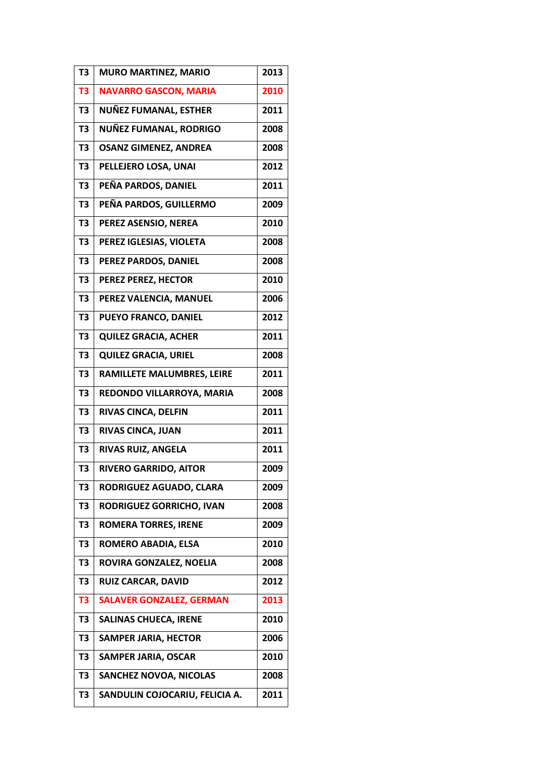| T <sub>3</sub> | <b>MURO MARTINEZ, MARIO</b>     | 2013 |
|----------------|---------------------------------|------|
| T <sub>3</sub> | <b>NAVARRO GASCON, MARIA</b>    | 2010 |
| T <sub>3</sub> | NUÑEZ FUMANAL, ESTHER           | 2011 |
| T <sub>3</sub> | NUÑEZ FUMANAL, RODRIGO          | 2008 |
| T <sub>3</sub> | <b>OSANZ GIMENEZ, ANDREA</b>    | 2008 |
| T <sub>3</sub> | PELLEJERO LOSA, UNAI            | 2012 |
| T <sub>3</sub> | PEÑA PARDOS, DANIEL             | 2011 |
| T <sub>3</sub> | PEÑA PARDOS, GUILLERMO          | 2009 |
| T <sub>3</sub> | PEREZ ASENSIO, NEREA            | 2010 |
| T <sub>3</sub> | PEREZ IGLESIAS, VIOLETA         | 2008 |
| T <sub>3</sub> | PEREZ PARDOS, DANIEL            | 2008 |
| T <sub>3</sub> | PEREZ PEREZ, HECTOR             | 2010 |
| T <sub>3</sub> | PEREZ VALENCIA, MANUEL          | 2006 |
| T <sub>3</sub> | PUEYO FRANCO, DANIEL            | 2012 |
| T <sub>3</sub> | <b>QUILEZ GRACIA, ACHER</b>     | 2011 |
| T <sub>3</sub> | <b>QUILEZ GRACIA, URIEL</b>     | 2008 |
| T <sub>3</sub> | RAMILLETE MALUMBRES, LEIRE      | 2011 |
| T <sub>3</sub> | REDONDO VILLARROYA, MARIA       | 2008 |
| T <sub>3</sub> | RIVAS CINCA, DELFIN             | 2011 |
| T <sub>3</sub> | <b>RIVAS CINCA, JUAN</b>        | 2011 |
| T <sub>3</sub> | RIVAS RUIZ, ANGELA              | 2011 |
| T3             | RIVERO GARRIDO, AITOR           | 2009 |
| T3             | RODRIGUEZ AGUADO, CLARA         | 2009 |
| T <sub>3</sub> | RODRIGUEZ GORRICHO, IVAN        | 2008 |
| T <sub>3</sub> | <b>ROMERA TORRES, IRENE</b>     | 2009 |
| T <sub>3</sub> | ROMERO ABADIA, ELSA             | 2010 |
| T3             | ROVIRA GONZALEZ, NOELIA         | 2008 |
| T3             | <b>RUIZ CARCAR, DAVID</b>       | 2012 |
| T <sub>3</sub> | <b>SALAVER GONZALEZ, GERMAN</b> | 2013 |
| T <sub>3</sub> | <b>SALINAS CHUECA, IRENE</b>    | 2010 |
| T3             | <b>SAMPER JARIA, HECTOR</b>     | 2006 |
| T3             | <b>SAMPER JARIA, OSCAR</b>      | 2010 |
| T <sub>3</sub> | <b>SANCHEZ NOVOA, NICOLAS</b>   | 2008 |
| T3             | SANDULIN COJOCARIU, FELICIA A.  | 2011 |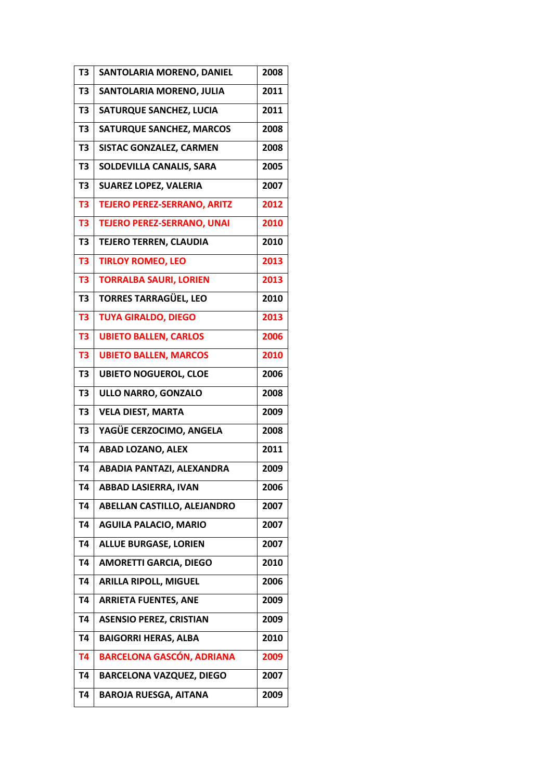| T <sub>3</sub> | SANTOLARIA MORENO, DANIEL          | 2008 |
|----------------|------------------------------------|------|
| T <sub>3</sub> | SANTOLARIA MORENO, JULIA           | 2011 |
| T <sub>3</sub> | SATURQUE SANCHEZ, LUCIA            | 2011 |
| T <sub>3</sub> | <b>SATURQUE SANCHEZ, MARCOS</b>    | 2008 |
| T <sub>3</sub> | <b>SISTAC GONZALEZ, CARMEN</b>     | 2008 |
| T <sub>3</sub> | SOLDEVILLA CANALIS, SARA           | 2005 |
| T <sub>3</sub> | <b>SUAREZ LOPEZ, VALERIA</b>       | 2007 |
| T <sub>3</sub> | <b>TEJERO PEREZ-SERRANO, ARITZ</b> | 2012 |
| T <sub>3</sub> | <b>TEJERO PEREZ-SERRANO, UNAI</b>  | 2010 |
| T <sub>3</sub> | <b>TEJERO TERREN, CLAUDIA</b>      | 2010 |
| T <sub>3</sub> | <b>TIRLOY ROMEO, LEO</b>           | 2013 |
| T <sub>3</sub> | <b>TORRALBA SAURI, LORIEN</b>      | 2013 |
| T <sub>3</sub> | <b>TORRES TARRAGÜEL, LEO</b>       | 2010 |
| T <sub>3</sub> | <b>TUYA GIRALDO, DIEGO</b>         | 2013 |
| T <sub>3</sub> | <b>UBIETO BALLEN, CARLOS</b>       | 2006 |
| T <sub>3</sub> | <b>UBIETO BALLEN, MARCOS</b>       | 2010 |
| T3             | <b>UBIETO NOGUEROL, CLOE</b>       | 2006 |
| T <sub>3</sub> | ULLO NARRO, GONZALO                | 2008 |
| T <sub>3</sub> | <b>VELA DIEST, MARTA</b>           | 2009 |
| T <sub>3</sub> | YAGÜE CERZOCIMO, ANGELA            | 2008 |
| <b>T4</b>      | <b>ABAD LOZANO, ALEX</b>           | 2011 |
| <b>T4</b>      | ABADIA PANTAZI, ALEXANDRA          | 2009 |
| T4             | <b>ABBAD LASIERRA, IVAN</b>        | 2006 |
| T4             | ABELLAN CASTILLO, ALEJANDRO        | 2007 |
| <b>T4</b>      | <b>AGUILA PALACIO, MARIO</b>       | 2007 |
| <b>T4</b>      | <b>ALLUE BURGASE, LORIEN</b>       | 2007 |
| <b>T4</b>      | <b>AMORETTI GARCIA, DIEGO</b>      | 2010 |
| Т4             | <b>ARILLA RIPOLL, MIGUEL</b>       | 2006 |
| <b>T4</b>      | <b>ARRIETA FUENTES, ANE</b>        | 2009 |
| Т4             | <b>ASENSIO PEREZ, CRISTIAN</b>     | 2009 |
| T4             | <b>BAIGORRI HERAS, ALBA</b>        | 2010 |
| <b>T4</b>      | <b>BARCELONA GASCÓN, ADRIANA</b>   | 2009 |
| <b>T4</b>      | <b>BARCELONA VAZQUEZ, DIEGO</b>    | 2007 |
| T4             | <b>BAROJA RUESGA, AITANA</b>       | 2009 |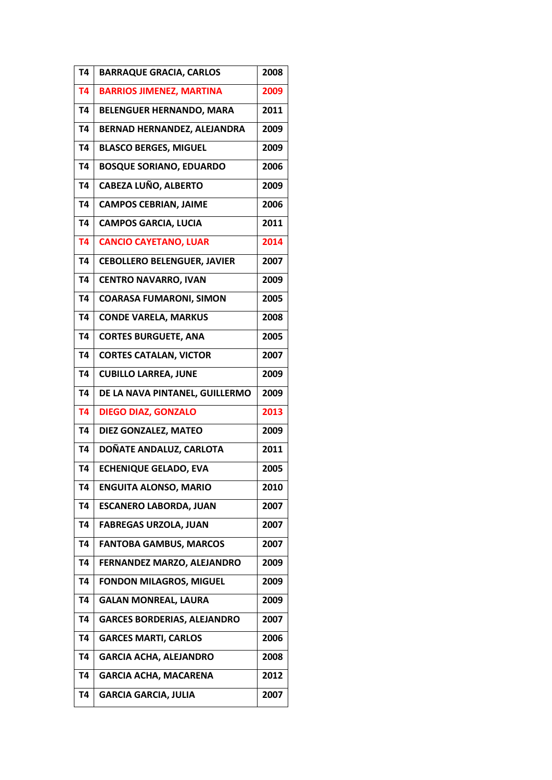| T4        | <b>BARRAQUE GRACIA, CARLOS</b>     | 2008 |
|-----------|------------------------------------|------|
| <b>T4</b> | <b>BARRIOS JIMENEZ, MARTINA</b>    | 2009 |
| T4        | <b>BELENGUER HERNANDO, MARA</b>    | 2011 |
| <b>T4</b> | BERNAD HERNANDEZ, ALEJANDRA        | 2009 |
| <b>T4</b> | <b>BLASCO BERGES, MIGUEL</b>       | 2009 |
| <b>T4</b> | <b>BOSQUE SORIANO, EDUARDO</b>     | 2006 |
| <b>T4</b> | <b>CABEZA LUÑO, ALBERTO</b>        | 2009 |
| <b>T4</b> | <b>CAMPOS CEBRIAN, JAIME</b>       | 2006 |
| <b>T4</b> | <b>CAMPOS GARCIA, LUCIA</b>        | 2011 |
| <b>T4</b> | <b>CANCIO CAYETANO, LUAR</b>       | 2014 |
| <b>T4</b> | <b>CEBOLLERO BELENGUER, JAVIER</b> | 2007 |
| <b>T4</b> | <b>CENTRO NAVARRO, IVAN</b>        | 2009 |
| T4        | <b>COARASA FUMARONI, SIMON</b>     | 2005 |
| <b>T4</b> | <b>CONDE VARELA, MARKUS</b>        | 2008 |
| <b>T4</b> | <b>CORTES BURGUETE, ANA</b>        | 2005 |
| <b>T4</b> | <b>CORTES CATALAN, VICTOR</b>      | 2007 |
| <b>T4</b> | <b>CUBILLO LARREA, JUNE</b>        | 2009 |
| <b>T4</b> | DE LA NAVA PINTANEL, GUILLERMO     | 2009 |
| <b>T4</b> | <b>DIEGO DIAZ, GONZALO</b>         | 2013 |
| <b>T4</b> | DIEZ GONZALEZ, MATEO               | 2009 |
| <b>T4</b> | DOÑATE ANDALUZ, CARLOTA            | 2011 |
| <b>T4</b> | <b>ECHENIQUE GELADO, EVA</b>       | 2005 |
| Τ4        | <b>ENGUITA ALONSO, MARIO</b>       | 2010 |
| Т4        | <b>ESCANERO LABORDA, JUAN</b>      | 2007 |
| Т4        | <b>FABREGAS URZOLA, JUAN</b>       | 2007 |
| T4        | <b>FANTOBA GAMBUS, MARCOS</b>      | 2007 |
| T4        | FERNANDEZ MARZO, ALEJANDRO         | 2009 |
| T4        | <b>FONDON MILAGROS, MIGUEL</b>     | 2009 |
| T4        | <b>GALAN MONREAL, LAURA</b>        | 2009 |
| T4        | <b>GARCES BORDERIAS, ALEJANDRO</b> | 2007 |
| T4        | <b>GARCES MARTI, CARLOS</b>        | 2006 |
| Т4        | <b>GARCIA ACHA, ALEJANDRO</b>      | 2008 |
| T4        | <b>GARCIA ACHA, MACARENA</b>       | 2012 |
| <b>T4</b> | <b>GARCIA GARCIA, JULIA</b>        | 2007 |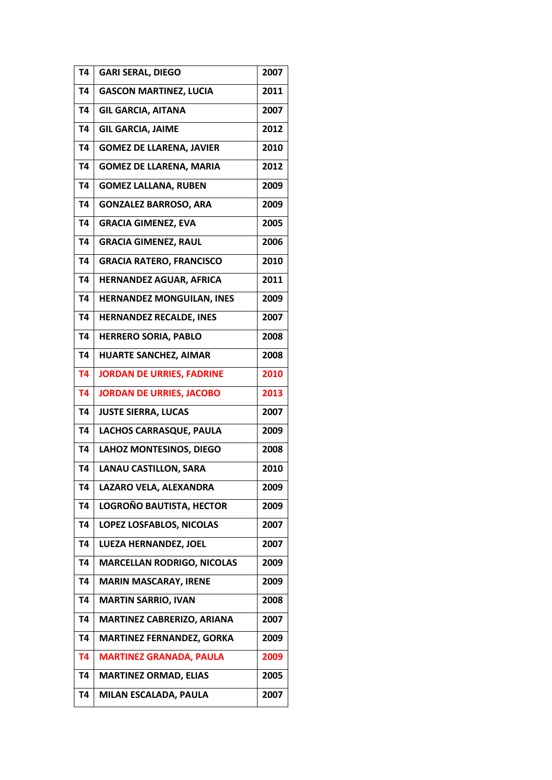| T4        | <b>GARI SERAL, DIEGO</b>          | 2007 |
|-----------|-----------------------------------|------|
| <b>T4</b> | <b>GASCON MARTINEZ, LUCIA</b>     | 2011 |
| T4        | <b>GIL GARCIA, AITANA</b>         | 2007 |
| <b>T4</b> | <b>GIL GARCIA, JAIME</b>          | 2012 |
| <b>T4</b> | <b>GOMEZ DE LLARENA, JAVIER</b>   | 2010 |
| <b>T4</b> | <b>GOMEZ DE LLARENA, MARIA</b>    | 2012 |
| T4        | <b>GOMEZ LALLANA, RUBEN</b>       | 2009 |
| <b>T4</b> | <b>GONZALEZ BARROSO, ARA</b>      | 2009 |
| T4        | <b>GRACIA GIMENEZ, EVA</b>        | 2005 |
| T4        | <b>GRACIA GIMENEZ, RAUL</b>       | 2006 |
| <b>T4</b> | <b>GRACIA RATERO, FRANCISCO</b>   | 2010 |
| <b>T4</b> | <b>HERNANDEZ AGUAR, AFRICA</b>    | 2011 |
| T4        | <b>HERNANDEZ MONGUILAN, INES</b>  | 2009 |
| T4        | <b>HERNANDEZ RECALDE, INES</b>    | 2007 |
| <b>T4</b> | <b>HERRERO SORIA, PABLO</b>       | 2008 |
| T4        | <b>HUARTE SANCHEZ, AIMAR</b>      | 2008 |
| <b>T4</b> | <b>JORDAN DE URRIES, FADRINE</b>  | 2010 |
| <b>T4</b> | <b>JORDAN DE URRIES, JACOBO</b>   | 2013 |
| <b>T4</b> | <b>JUSTE SIERRA, LUCAS</b>        | 2007 |
| <b>T4</b> | <b>LACHOS CARRASQUE, PAULA</b>    | 2009 |
| <b>T4</b> | LAHOZ MONTESINOS, DIEGO           | 2008 |
| <b>T4</b> | <b>LANAU CASTILLON, SARA</b>      | 2010 |
| T4        | LAZARO VELA, ALEXANDRA            | 2009 |
| T4        | LOGROÑO BAUTISTA, HECTOR          | 2009 |
| T4        | LOPEZ LOSFABLOS, NICOLAS          | 2007 |
| T4        | LUEZA HERNANDEZ, JOEL             | 2007 |
| T4        | <b>MARCELLAN RODRIGO, NICOLAS</b> | 2009 |
| Т4        | <b>MARIN MASCARAY, IRENE</b>      | 2009 |
| T4        | <b>MARTIN SARRIO, IVAN</b>        | 2008 |
| Т4        | <b>MARTINEZ CABRERIZO, ARIANA</b> | 2007 |
| T4        | <b>MARTINEZ FERNANDEZ, GORKA</b>  | 2009 |
| <b>T4</b> | <b>MARTINEZ GRANADA, PAULA</b>    | 2009 |
| <b>T4</b> | <b>MARTINEZ ORMAD, ELIAS</b>      | 2005 |
| Т4        | MILAN ESCALADA, PAULA             | 2007 |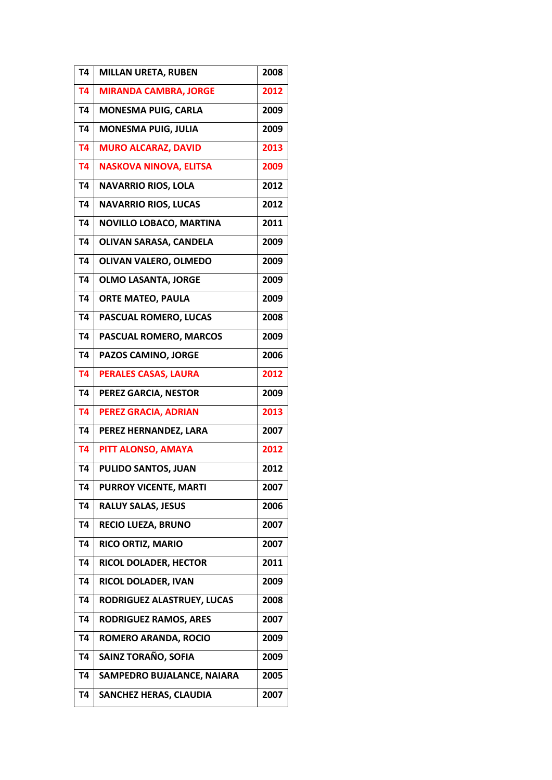| T <sub>4</sub> | <b>MILLAN URETA, RUBEN</b>    | 2008 |
|----------------|-------------------------------|------|
| <b>T4</b>      | <b>MIRANDA CAMBRA, JORGE</b>  | 2012 |
| T4             | <b>MONESMA PUIG, CARLA</b>    | 2009 |
| <b>T4</b>      | <b>MONESMA PUIG, JULIA</b>    | 2009 |
| <b>T4</b>      | <b>MURO ALCARAZ, DAVID</b>    | 2013 |
| <b>T4</b>      | <b>NASKOVA NINOVA, ELITSA</b> | 2009 |
| T4             | <b>NAVARRIO RIOS, LOLA</b>    | 2012 |
| <b>T4</b>      | <b>NAVARRIO RIOS, LUCAS</b>   | 2012 |
| <b>T4</b>      | NOVILLO LOBACO, MARTINA       | 2011 |
| <b>T4</b>      | OLIVAN SARASA, CANDELA        | 2009 |
| <b>T4</b>      | OLIVAN VALERO, OLMEDO         | 2009 |
| <b>T4</b>      | <b>OLMO LASANTA, JORGE</b>    | 2009 |
| <b>T4</b>      | <b>ORTE MATEO, PAULA</b>      | 2009 |
| <b>T4</b>      | PASCUAL ROMERO, LUCAS         | 2008 |
| <b>T4</b>      | PASCUAL ROMERO, MARCOS        | 2009 |
| <b>T4</b>      | PAZOS CAMINO, JORGE           | 2006 |
| <b>T4</b>      | <b>PERALES CASAS, LAURA</b>   | 2012 |
| <b>T4</b>      | PEREZ GARCIA, NESTOR          | 2009 |
| <b>T4</b>      | PEREZ GRACIA, ADRIAN          | 2013 |
| T4             | PEREZ HERNANDEZ, LARA         | 2007 |
| <b>T4</b>      | PITT ALONSO, AMAYA            | 2012 |
| <b>T4</b>      | PULIDO SANTOS, JUAN           | 2012 |
| T4             | PURROY VICENTE, MARTI         | 2007 |
| T4             | <b>RALUY SALAS, JESUS</b>     | 2006 |
| Т4             | <b>RECIO LUEZA, BRUNO</b>     | 2007 |
| T4             | RICO ORTIZ, MARIO             | 2007 |
| T4             | RICOL DOLADER, HECTOR         | 2011 |
| T4             | RICOL DOLADER, IVAN           | 2009 |
| T4             | RODRIGUEZ ALASTRUEY, LUCAS    | 2008 |
| T4             | <b>RODRIGUEZ RAMOS, ARES</b>  | 2007 |
| T4             | ROMERO ARANDA, ROCIO          | 2009 |
| Т4             | SAINZ TORAÑO, SOFIA           | 2009 |
| T4             | SAMPEDRO BUJALANCE, NAIARA    | 2005 |
| Т4             | <b>SANCHEZ HERAS, CLAUDIA</b> | 2007 |